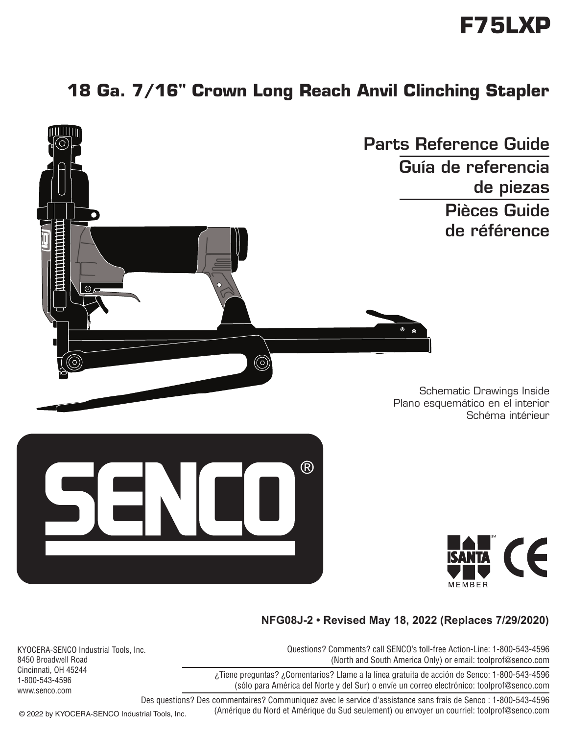# **F75LXP**

## **18 Ga. 7/16" Crown Long Reach Anvil Clinching Stapler**



#### **NFG08J-2 • Revised May 18, 2022 (Replaces 7/29/2020)**

Questions? Comments? call SENCO's toll-free Action-Line: 1-800-543-4596 (North and South America Only) or email: toolprof@senco.com

¿Tiene preguntas? ¿Comentarios? Llame a la línea gratuita de acción de Senco: 1-800-543-4596 (sólo para América del Norte y del Sur) o envíe un correo electrónico: toolprof@senco.com

KYOCERA-SENCO Industrial Tools, Inc. 8450 Broadwell Road Cincinnati, OH 45244 1-800-543-4596 www.senco.com

> Des questions? Des commentaires? Communiquez avec le service d'assistance sans frais de Senco : 1-800-543-4596 (Amérique du Nord et Amérique du Sud seulement) ou envoyer un courriel: toolprof@senco.com

© 2022 by KYOCERA-SENCO Industrial Tools, Inc.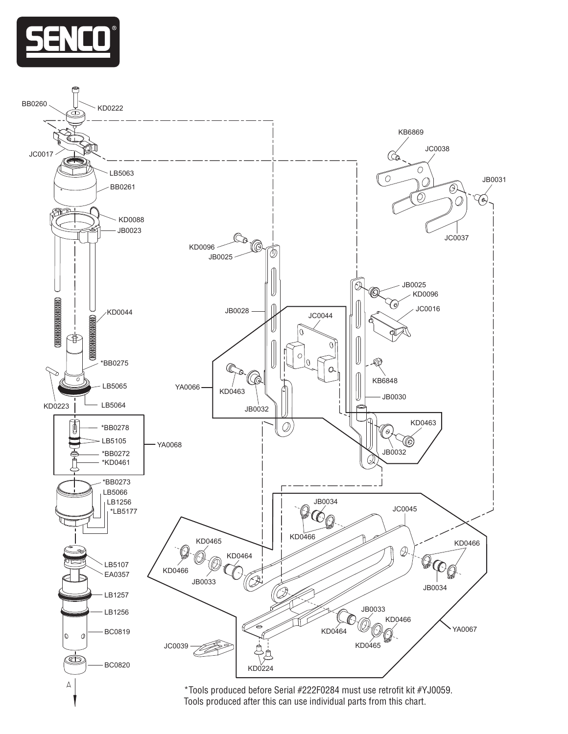

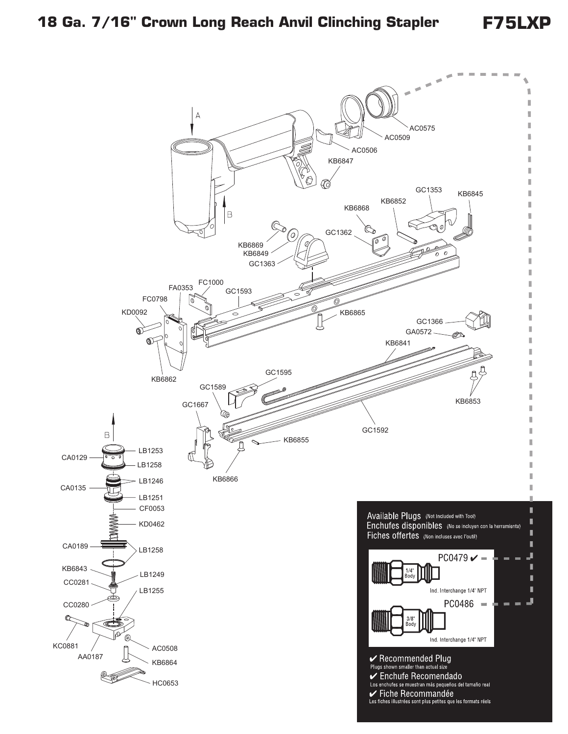